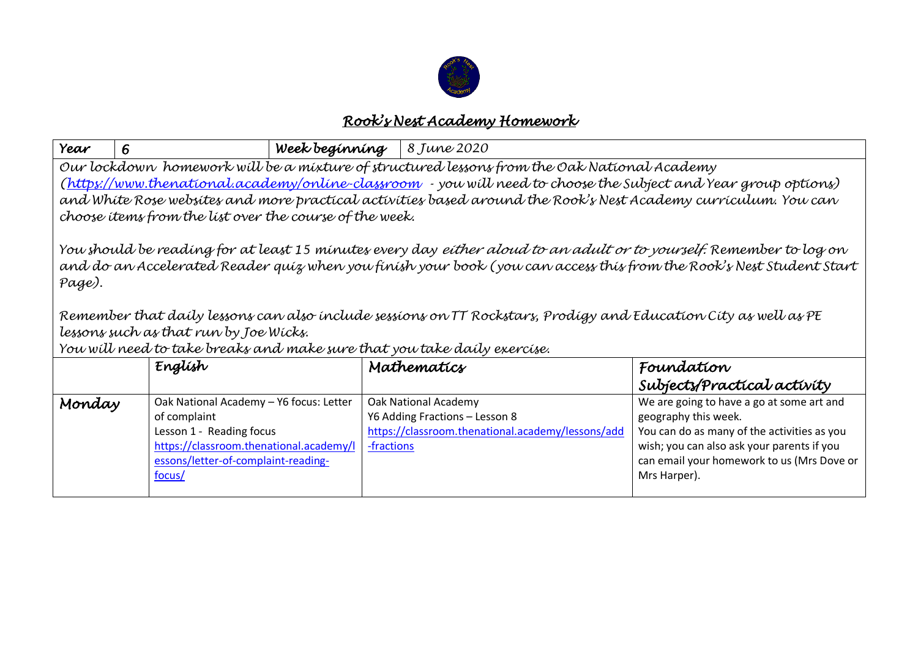

## *Rook's Nest Academy Homework*

| Year                                                                                                                                                                                                                                                                                                                                                                                                                                                                                                                                                                                                                                                       | 6                                                                                                                                                                               | Week beginning | 8 June 2020                                                                                                 |                                                                                                                                                                                                                              |  |  |
|------------------------------------------------------------------------------------------------------------------------------------------------------------------------------------------------------------------------------------------------------------------------------------------------------------------------------------------------------------------------------------------------------------------------------------------------------------------------------------------------------------------------------------------------------------------------------------------------------------------------------------------------------------|---------------------------------------------------------------------------------------------------------------------------------------------------------------------------------|----------------|-------------------------------------------------------------------------------------------------------------|------------------------------------------------------------------------------------------------------------------------------------------------------------------------------------------------------------------------------|--|--|
| Our lockdown homework will be a mixture of structured lessons from the Oak National Academy<br>(https://www.thenational.academy/online-classroom - you will need to choose the Subject and Year group options)<br>and White Rose websites and more practical activities based around the Rook's Nest Academy curriculum. You can<br>choose items from the list over the course of the week.<br>You should be reading for at least 15 minutes every day <i>either aloud to an adult or to yourself.</i> Remember to log on<br>and do an Accelerated Reader quiz when you finish your book (you can access this from the Rook's Nest Student Start<br>Page). |                                                                                                                                                                                 |                |                                                                                                             |                                                                                                                                                                                                                              |  |  |
| Remember that daily lessons can also include sessions on TT Rockstars, Prodigy and Education City as well as PE<br>lessons such as that run by Joe Wicks.<br>You will need to take breaks and make sure that you take daily exercise.                                                                                                                                                                                                                                                                                                                                                                                                                      |                                                                                                                                                                                 |                |                                                                                                             |                                                                                                                                                                                                                              |  |  |
|                                                                                                                                                                                                                                                                                                                                                                                                                                                                                                                                                                                                                                                            | Englísh                                                                                                                                                                         |                | Mathematics                                                                                                 | Foundation                                                                                                                                                                                                                   |  |  |
|                                                                                                                                                                                                                                                                                                                                                                                                                                                                                                                                                                                                                                                            |                                                                                                                                                                                 |                |                                                                                                             | Subjects/Practical activity                                                                                                                                                                                                  |  |  |
| Monday                                                                                                                                                                                                                                                                                                                                                                                                                                                                                                                                                                                                                                                     | Oak National Academy - Y6 focus: Letter<br>of complaint<br>Lesson 1 - Reading focus<br>https://classroom.thenational.academy/l<br>essons/letter-of-complaint-reading-<br>focus/ | -fractions     | Oak National Academy<br>Y6 Adding Fractions - Lesson 8<br>https://classroom.thenational.academy/lessons/add | We are going to have a go at some art and<br>geography this week.<br>You can do as many of the activities as you<br>wish; you can also ask your parents if you<br>can email your homework to us (Mrs Dove or<br>Mrs Harper). |  |  |